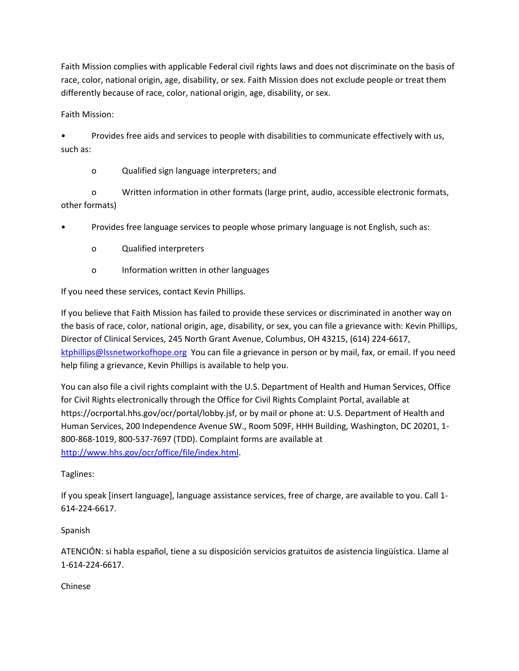Faith Mission complies with applicable Federal civil rights laws and does not discriminate on the basis of race, color, national origin, age, disability, or sex. Faith Mission does not exclude people or treat them differently because of race, color, national origin, age, disability, or sex.

Faith Mission:

• Provides free aids and services to people with disabilities to communicate effectively with us, such as:

o Qualified sign language interpreters; and

o Written information in other formats (large print, audio, accessible electronic formats, other formats)

• Provides free language services to people whose primary language is not English, such as:

- o Qualified interpreters
- o Information written in other languages

If you need these services, contact Kevin Phillips.

If you believe that Faith Mission has failed to provide these services or discriminated in another way on the basis of race, color, national origin, age, disability, or sex, you can file a grievance with: Kevin Phillips, Director of Clinical Services, 245 North Grant Avenue, Columbus, OH 43215, (614) 224-6617, [ktphillips@lssnetworkofhope.org](mailto:ktphillips@lssnetworkofhope.org) You can file a grievance in person or by mail, fax, or email. If you need help filing a grievance, Kevin Phillips is available to help you.

You can also file a civil rights complaint with the U.S. Department of Health and Human Services, Office for Civil Rights electronically through the Office for Civil Rights Complaint Portal, available at https://ocrportal.hhs.gov/ocr/portal/lobby.jsf, or by mail or phone at: U.S. Department of Health and Human Services, 200 Independence Avenue SW., Room 509F, HHH Building, Washington, DC 20201, 1- 800-868-1019, 800-537-7697 (TDD). Complaint forms are available at [http://www.hhs.gov/ocr/office/file/index.html.](http://www.hhs.gov/ocr/office/file/index.html)

# Taglines:

If you speak [insert language], language assistance services, free of charge, are available to you. Call 1- 614-224-6617.

# Spanish

ATENCIÓN: si habla español, tiene a su disposición servicios gratuitos de asistencia lingüística. Llame al 1-614-224-6617.

Chinese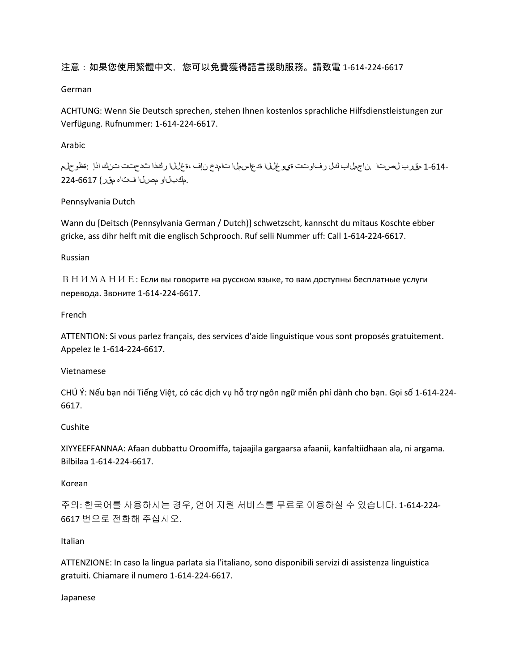# 注意:如果您使用繁體中文,您可以免費獲得語言援助服務。請致電 1-614-224-6617

#### German

ACHTUNG: Wenn Sie Deutsch sprechen, stehen Ihnen kostenlos sprachliche Hilfsdienstleistungen zur Verfügung. Rufnummer: 1-614-224-6617.

## Arabic

-1-614 مقرب لصرتا .ناجملاب كل رفاوتت ةي وغللا ةدعاسمل تامدخ نإف ،ةغللا ركذا شدحتت تنك اذإ :ةظوحلم .مكبلاو مصلا فتاه مقر) 224-6617

## Pennsylvania Dutch

Wann du [Deitsch (Pennsylvania German / Dutch)] schwetzscht, kannscht du mitaus Koschte ebber gricke, ass dihr helft mit die englisch Schprooch. Ruf selli Nummer uff: Call 1-614-224-6617.

## Russian

ВНИМАНИЕ: Если вы говорите на русском языке, то вам доступны бесплатные услуги перевода. Звоните 1-614-224-6617.

## French

ATTENTION: Si vous parlez français, des services d'aide linguistique vous sont proposés gratuitement. Appelez le 1-614-224-6617.

## Vietnamese

CHÚ Ý: Nếu bạn nói Tiếng Việt, có các dịch vụ hỗ trợ ngôn ngữ miễn phí dành cho bạn. Gọi số 1-614-224- 6617.

## Cushite

XIYYEEFFANNAA: Afaan dubbattu Oroomiffa, tajaajila gargaarsa afaanii, kanfaltiidhaan ala, ni argama. Bilbilaa 1-614-224-6617.

#### Korean

주의: 한국어를 사용하시는 경우, 언어 지원 서비스를 무료로 이용하실 수 있습니다. 1-614-224- 6617 번으로 전화해 주십시오.

#### Italian

ATTENZIONE: In caso la lingua parlata sia l'italiano, sono disponibili servizi di assistenza linguistica gratuiti. Chiamare il numero 1-614-224-6617.

#### Japanese